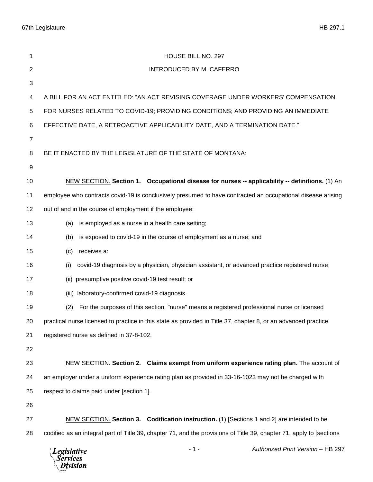67th Legislature HB 297.1

| 1              | HOUSE BILL NO. 297                                                                                                   |
|----------------|----------------------------------------------------------------------------------------------------------------------|
| $\overline{c}$ | INTRODUCED BY M. CAFERRO                                                                                             |
| 3              |                                                                                                                      |
| 4              | A BILL FOR AN ACT ENTITLED: "AN ACT REVISING COVERAGE UNDER WORKERS' COMPENSATION                                    |
| 5              | FOR NURSES RELATED TO COVID-19; PROVIDING CONDITIONS; AND PROVIDING AN IMMEDIATE                                     |
| 6              | EFFECTIVE DATE, A RETROACTIVE APPLICABILITY DATE, AND A TERMINATION DATE."                                           |
| 7              |                                                                                                                      |
| 8              | BE IT ENACTED BY THE LEGISLATURE OF THE STATE OF MONTANA:                                                            |
| 9              |                                                                                                                      |
| 10             | NEW SECTION. Section 1. Occupational disease for nurses -- applicability -- definitions. (1) An                      |
| 11             | employee who contracts covid-19 is conclusively presumed to have contracted an occupational disease arising          |
| 12             | out of and in the course of employment if the employee:                                                              |
| 13             | is employed as a nurse in a health care setting;<br>(a)                                                              |
| 14             | is exposed to covid-19 in the course of employment as a nurse; and<br>(b)                                            |
| 15             | receives a:<br>(c)                                                                                                   |
| 16             | covid-19 diagnosis by a physician, physician assistant, or advanced practice registered nurse;<br>(i)                |
| 17             | presumptive positive covid-19 test result; or<br>(ii)                                                                |
| 18             | laboratory-confirmed covid-19 diagnosis.<br>(iii)                                                                    |
| 19             | For the purposes of this section, "nurse" means a registered professional nurse or licensed<br>(2)                   |
| 20             | practical nurse licensed to practice in this state as provided in Title 37, chapter 8, or an advanced practice       |
| 21             | registered nurse as defined in 37-8-102.                                                                             |
| 22             |                                                                                                                      |
| 23             | NEW SECTION. Section 2. Claims exempt from uniform experience rating plan. The account of                            |
| 24             | an employer under a uniform experience rating plan as provided in 33-16-1023 may not be charged with                 |
| 25             | respect to claims paid under [section 1].                                                                            |
| 26             |                                                                                                                      |
| 27             | NEW SECTION. Section 3. Codification instruction. (1) [Sections 1 and 2] are intended to be                          |
| 28             | codified as an integral part of Title 39, chapter 71, and the provisions of Title 39, chapter 71, apply to [sections |
|                |                                                                                                                      |